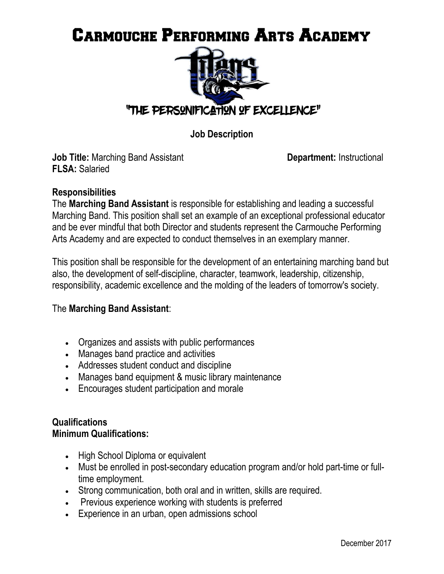# Carmouche Performing Arts Academy



**Job Description** 

**Job Title:** Marching Band Assistant **Department:** Instructional **FLSA:** Salaried

#### **Responsibilities**

The **Marching Band Assistant** is responsible for establishing and leading a successful Marching Band. This position shall set an example of an exceptional professional educator and be ever mindful that both Director and students represent the Carmouche Performing Arts Academy and are expected to conduct themselves in an exemplary manner.

This position shall be responsible for the development of an entertaining marching band but also, the development of self-discipline, character, teamwork, leadership, citizenship, responsibility, academic excellence and the molding of the leaders of tomorrow's society.

### The **Marching Band Assistant**:

- Organizes and assists with public performances
- Manages band practice and activities
- Addresses student conduct and discipline
- Manages band equipment & music library maintenance
- Encourages student participation and morale

#### **Qualifications Minimum Qualifications:**

- High School Diploma or equivalent
- Must be enrolled in post-secondary education program and/or hold part-time or fulltime employment.
- Strong communication, both oral and in written, skills are required.
- Previous experience working with students is preferred
- Experience in an urban, open admissions school